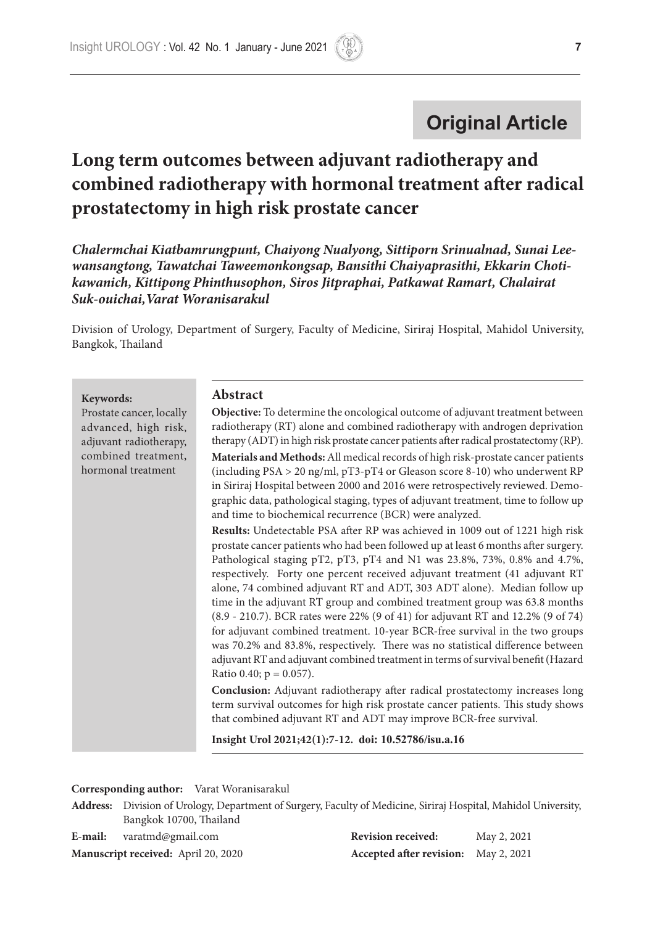# **Original Article**

# **Long term outcomes between adjuvant radiotherapy and combined radiotherapy with hormonal treatment after radical prostatectomy in high risk prostate cancer**

*Chalermchai Kiatbamrungpunt, Chaiyong Nualyong, Sittiporn Srinualnad, Sunai Leewansangtong, Tawatchai Taweemonkongsap, Bansithi Chaiyaprasithi, Ekkarin Chotikawanich, Kittipong Phinthusophon, Siros Jitpraphai, Patkawat Ramart, Chalairat Suk-ouichai,Varat Woranisarakul*

Division of Urology, Department of Surgery, Faculty of Medicine, Siriraj Hospital, Mahidol University, Bangkok, Thailand

**Keywords:** 

Prostate cancer, locally advanced, high risk, adjuvant radiotherapy, combined treatment, hormonal treatment

#### **Abstract**

**Objective:** To determine the oncological outcome of adjuvant treatment between radiotherapy (RT) alone and combined radiotherapy with androgen deprivation therapy (ADT) in high risk prostate cancer patients after radical prostatectomy (RP).

**Materials and Methods:** All medical records of high risk-prostate cancer patients (including PSA > 20 ng/ml, pT3-pT4 or Gleason score 8-10) who underwent RP in Siriraj Hospital between 2000 and 2016 were retrospectively reviewed. Demographic data, pathological staging, types of adjuvant treatment, time to follow up and time to biochemical recurrence (BCR) were analyzed.

**Results:** Undetectable PSA after RP was achieved in 1009 out of 1221 high risk prostate cancer patients who had been followed up at least 6 months after surgery. Pathological staging pT2, pT3, pT4 and N1 was 23.8%, 73%, 0.8% and 4.7%, respectively. Forty one percent received adjuvant treatment (41 adjuvant RT alone, 74 combined adjuvant RT and ADT, 303 ADT alone). Median follow up time in the adjuvant RT group and combined treatment group was 63.8 months (8.9 - 210.7). BCR rates were 22% (9 of 41) for adjuvant RT and 12.2% (9 of 74) for adjuvant combined treatment. 10-year BCR-free survival in the two groups was 70.2% and 83.8%, respectively. There was no statistical difference between adjuvant RT and adjuvant combined treatment in terms of survival benefit (Hazard Ratio 0.40;  $p = 0.057$ ).

**Conclusion:** Adjuvant radiotherapy after radical prostatectomy increases long term survival outcomes for high risk prostate cancer patients. This study shows that combined adjuvant RT and ADT may improve BCR-free survival.

**Insight Urol 2021;42(1):7-12. doi: 10.52786/isu.a.16**

| Address: Division of Urology, Department of Surgery, Faculty of Medicine, Siriraj Hospital, Mahidol University, |
|-----------------------------------------------------------------------------------------------------------------|
| Bangkok 10700, Thailand                                                                                         |

| E-mail: | varatmd@gmail.com                          | <b>Revision received:</b>            | May 2, 2021 |
|---------|--------------------------------------------|--------------------------------------|-------------|
|         | <b>Manuscript received:</b> April 20, 2020 | Accepted after revision: May 2, 2021 |             |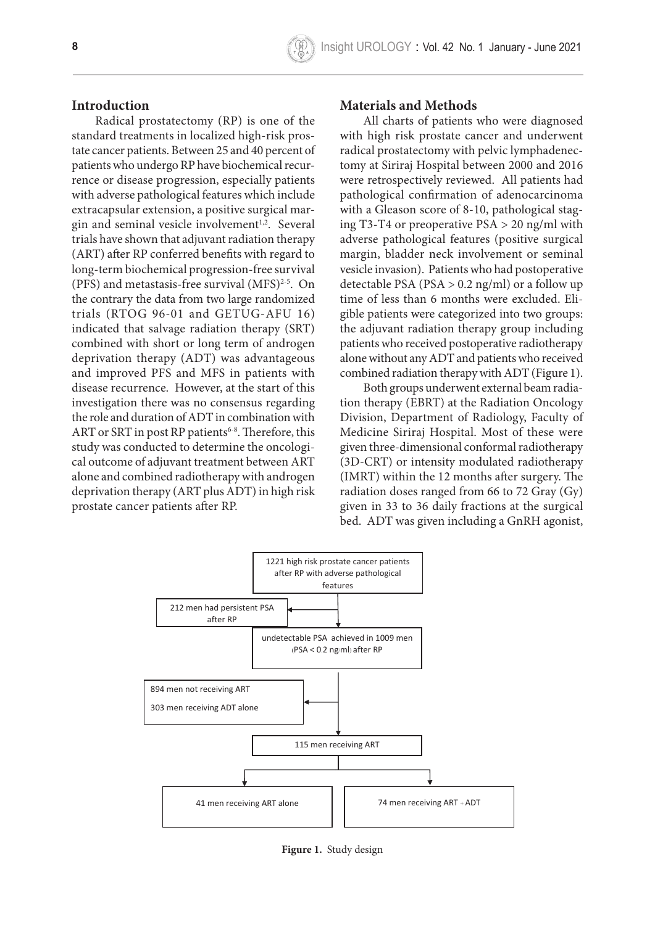#### **Introduction**

Radical prostatectomy (RP) is one of the standard treatments in localized high-risk prostate cancer patients. Between 25 and 40 percent of patients who undergo RP have biochemical recurrence or disease progression, especially patients with adverse pathological features which include extracapsular extension, a positive surgical margin and seminal vesicle involvement $1,2$ . Several trials have shown that adjuvant radiation therapy (ART) after RP conferred benefits with regard to long-term biochemical progression-free survival (PFS) and metastasis-free survival  $(MFS)^{2-5}$ . On the contrary the data from two large randomized trials (RTOG 96-01 and GETUG-AFU 16) indicated that salvage radiation therapy (SRT) combined with short or long term of androgen deprivation therapy (ADT) was advantageous and improved PFS and MFS in patients with disease recurrence. However, at the start of this investigation there was no consensus regarding the role and duration of ADT in combination with ART or SRT in post RP patients<sup>6-8</sup>. Therefore, this study was conducted to determine the oncological outcome of adjuvant treatment between ART **Table 2.** Details of comparative analysis alone and combined radiotherapy with androgen deprivation therapy (ART plus ADT) in high risk prostate cancer patients after RP.

#### **Materials and Methods**

All charts of patients who were diagnosed with high risk prostate cancer and underwent radical prostatectomy with pelvic lymphadenectomy at Siriraj Hospital between 2000 and 2016 were retrospectively reviewed. All patients had pathological confirmation of adenocarcinoma with a Gleason score of 8-10, pathological staging T3-T4 or preoperative PSA > 20 ng/ml with adverse pathological features (positive surgical margin, bladder neck involvement or seminal vesicle invasion). Patients who had postoperative detectable PSA (PSA > 0.2 ng/ml) or a follow up time of less than 6 months were excluded. Eligible patients were categorized into two groups: the adjuvant radiation therapy group including patients who received postoperative radiotherapy alone without any ADT and patients who received combined radiation therapy with ADT (Figure 1).

Both groups underwent external beam radia-15 tion therapy (EBRT) at the Radiation Oncology h Division, Department of Radiology, Faculty of Medicine Siriraj Hospital. Most of these were experiments of the provement of the second three-dimensional conformal radiotherapy (3D-CRT) or intensity modulated radiotherapy (IMRT) within the 12 months after surgery. The radiation doses ranged from 66 to 72 Gray (Gy) given in 33 to 36 daily fractions at the surgical bed. ADT was given including a GnRH agonist,



**Figure 1.** Study design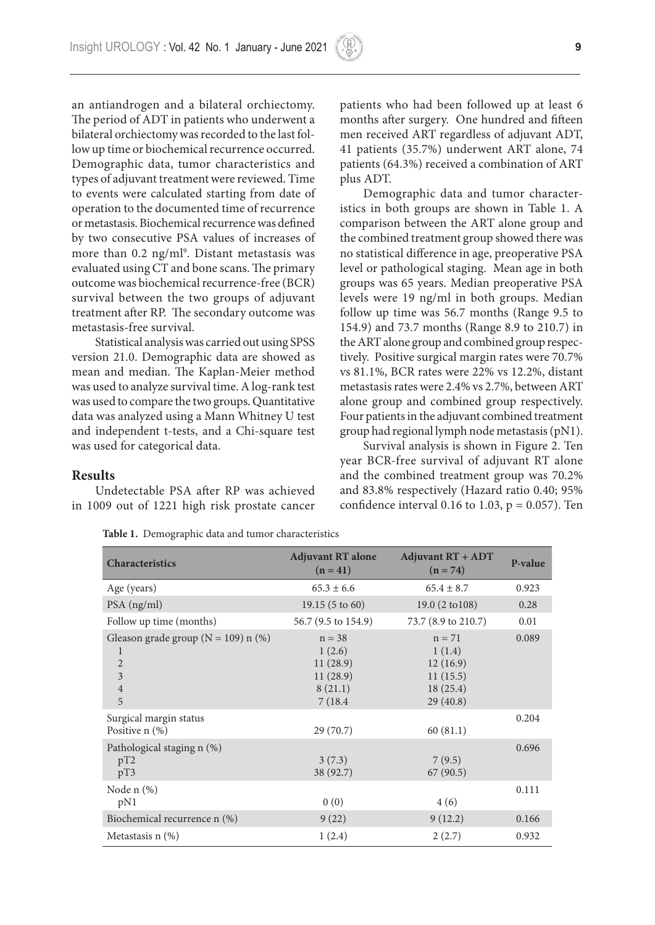an antiandrogen and a bilateral orchiectomy. The period of ADT in patients who underwent a bilateral orchiectomy was recorded to the last follow up time or biochemical recurrence occurred. Demographic data, tumor characteristics and types of adjuvant treatment were reviewed. Time to events were calculated starting from date of operation to the documented time of recurrence or metastasis. Biochemical recurrence was defined by two consecutive PSA values of increases of more than 0.2 ng/ml<sup>9</sup>. Distant metastasis was evaluated using CT and bone scans. The primary outcome was biochemical recurrence-free (BCR) survival between the two groups of adjuvant treatment after RP. The secondary outcome was metastasis-free survival.

Statistical analysis was carried out using SPSS version 21.0. Demographic data are showed as mean and median. The Kaplan-Meier method was used to analyze survival time. A log-rank test was used to compare the two groups. Quantitative data was analyzed using a Mann Whitney U test and independent t-tests, and a Chi-square test was used for categorical data.

patients who had been followed up at least 6 months after surgery. One hundred and fifteen men received ART regardless of adjuvant ADT, 41 patients (35.7%) underwent ART alone, 74 patients (64.3%) received a combination of ART plus ADT.

Demographic data and tumor characteristics in both groups are shown in Table 1. A comparison between the ART alone group and the combined treatment group showed there was no statistical difference in age, preoperative PSA level or pathological staging. Mean age in both groups was 65 years. Median preoperative PSA levels were 19 ng/ml in both groups. Median follow up time was 56.7 months (Range 9.5 to 154.9) and 73.7 months (Range 8.9 to 210.7) in the ART alone group and combined group respectively. Positive surgical margin rates were 70.7% vs 81.1%, BCR rates were 22% vs 12.2%, distant metastasis rates were 2.4% vs 2.7%, between ART alone group and combined group respectively. Four patients in the adjuvant combined treatment group had regional lymph node metastasis (pN1).

Survival analysis is shown in Figure 2. Ten year BCR-free survival of adjuvant RT alone and the combined treatment group was 70.2% and 83.8% respectively (Hazard ratio 0.40; 95% confidence interval 0.16 to 1.03,  $p = 0.057$ ). Ten

## **Results**

Undetectable PSA after RP was achieved in 1009 out of 1221 high risk prostate cancer

| <b>Characteristics</b>                                                                                | <b>Adjuvant RT alone</b><br>$(n = 41)$                           | <b>Adjuvant RT + ADT</b><br>$(n = 74)$                             | P-value |
|-------------------------------------------------------------------------------------------------------|------------------------------------------------------------------|--------------------------------------------------------------------|---------|
| Age (years)                                                                                           | $65.3 \pm 6.6$                                                   | $65.4 \pm 8.7$                                                     | 0.923   |
| PSA (ng/ml)                                                                                           | $19.15(5 \text{ to } 60)$                                        | $19.0(2 \text{ to } 108)$                                          | 0.28    |
| Follow up time (months)                                                                               | 56.7 (9.5 to 154.9)                                              | 73.7 (8.9 to 210.7)                                                | 0.01    |
| Gleason grade group ( $N = 109$ ) n (%)<br>1<br>$\sqrt{2}$<br>$\overline{\mathbf{3}}$<br>$\,4\,$<br>5 | $n = 38$<br>1(2.6)<br>11(28.9)<br>11(28.9)<br>8(21.1)<br>7(18.4) | $n = 71$<br>1(1.4)<br>12(16.9)<br>11(15.5)<br>18(25.4)<br>29(40.8) | 0.089   |
| Surgical margin status<br>Positive $n$ $(\%)$                                                         | 29 (70.7)                                                        | 60(81.1)                                                           | 0.204   |
| Pathological staging n (%)<br>pT2<br>pT3                                                              | 3(7.3)<br>38 (92.7)                                              | 7(9.5)<br>67(90.5)                                                 | 0.696   |
| Node n (%)<br>pN1                                                                                     | 0(0)                                                             | 4(6)                                                               | 0.111   |
| Biochemical recurrence n (%)                                                                          | 9(22)                                                            | 9(12.2)                                                            | 0.166   |
| Metastasis $n$ $(\%)$                                                                                 | 1(2.4)                                                           | 2(2.7)                                                             | 0.932   |

**Table 1.** Demographic data and tumor characteristics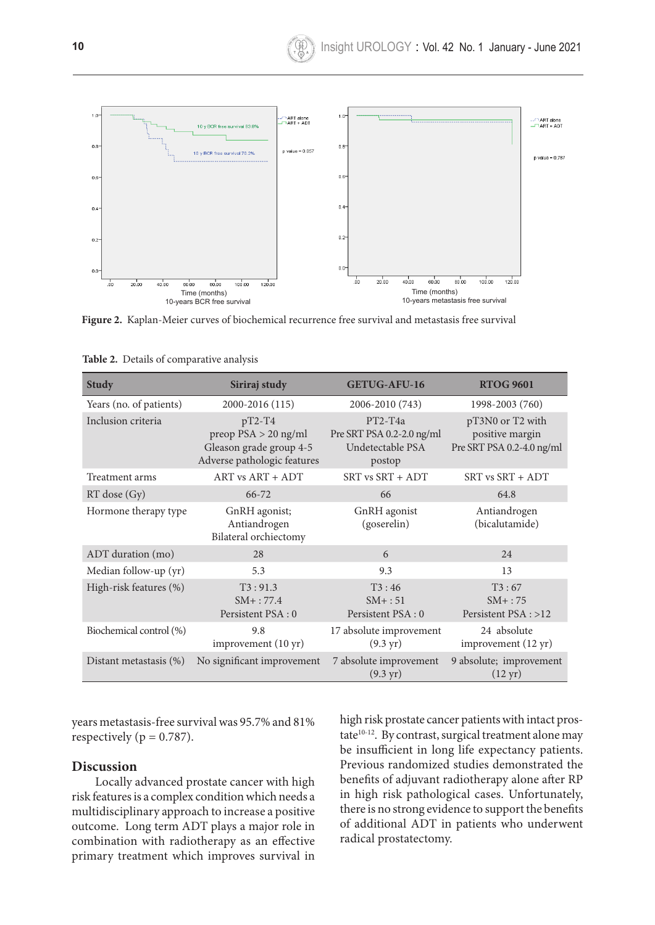

**Figure 2.** Kaplan-Meier curves of biochemical recurrence free survival and metastasis free survival

| <b>Study</b>            | Siriraj study                                                                                | <b>GETUG-AFU-16</b>                                                  | <b>RTOG 9601</b>                                                 |
|-------------------------|----------------------------------------------------------------------------------------------|----------------------------------------------------------------------|------------------------------------------------------------------|
| Years (no. of patients) | 2000-2016 (115)                                                                              | 2006-2010 (743)                                                      | 1998-2003 (760)                                                  |
| Inclusion criteria      | $pT2-T4$<br>preop $PSA > 20$ ng/ml<br>Gleason grade group 4-5<br>Adverse pathologic features | $PT2-T4a$<br>Pre SRT PSA 0.2-2.0 ng/ml<br>Undetectable PSA<br>postop | pT3N0 or T2 with<br>positive margin<br>Pre SRT PSA 0.2-4.0 ng/ml |
| Treatment arms          | ART vs ART + ADT                                                                             | SRT vs SRT + ADT                                                     | SRT vs SRT + ADT                                                 |
| $RT$ dose $(Gy)$        | $66 - 72$                                                                                    | 66                                                                   | 64.8                                                             |
| Hormone therapy type    | GnRH agonist;<br>Antiandrogen<br>Bilateral orchiectomy                                       | GnRH agonist<br>(goserelin)                                          | Antiandrogen<br>(bicalutamide)                                   |
| ADT duration (mo)       | 28                                                                                           | 6                                                                    | 24                                                               |
| Median follow-up (yr)   | 5.3                                                                                          | 9.3                                                                  | 13                                                               |
| High-risk features (%)  | T3:91.3<br>$SM+$ : 77.4<br>Persistent PSA: 0                                                 | T3:46<br>$SM+:51$<br>Persistent PSA: 0                               | T3:67<br>$SM+$ : 75<br>Persistent PSA : >12                      |
| Biochemical control (%) | 9.8<br>improvement (10 yr)                                                                   | 17 absolute improvement<br>$(9.3 \,\text{yr})$                       | 24 absolute<br>improvement (12 yr)                               |
| Distant metastasis (%)  | No significant improvement                                                                   | 7 absolute improvement<br>$(9.3 \,\text{yr})$                        | 9 absolute; improvement<br>$(12 \text{ yr})$                     |

**Figure 2.** Kaplan-Meier curves of biochemical recurrence free survival and metastasis free **Table 2.** Details of comparative analysis

years metastasis-free survival was 95.7% and 81% respectively ( $p = 0.787$ ).

#### **Discussion**

Locally advanced prostate cancer with high risk features is a complex condition which needs a multidisciplinary approach to increase a positive outcome. Long term ADT plays a major role in combination with radiotherapy as an effective primary treatment which improves survival in

high risk prostate cancer patients with intact prostate<sup>10-12</sup>. By contrast, surgical treatment alone may be insufficient in long life expectancy patients. Previous randomized studies demonstrated the benefits of adjuvant radiotherapy alone after RP in high risk pathological cases. Unfortunately, there is no strong evidence to support the benefits of additional ADT in patients who underwent radical prostatectomy.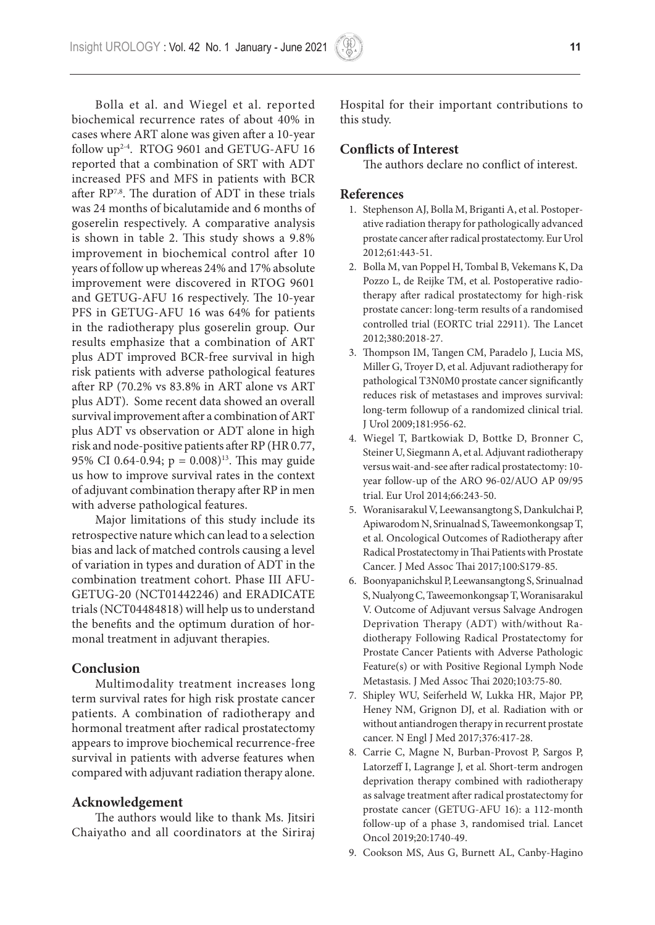Bolla et al. and Wiegel et al. reported biochemical recurrence rates of about 40% in cases where ART alone was given after a 10-year follow up2-4. RTOG 9601 and GETUG-AFU 16 reported that a combination of SRT with ADT increased PFS and MFS in patients with BCR after RP7,8. The duration of ADT in these trials was 24 months of bicalutamide and 6 months of goserelin respectively. A comparative analysis is shown in table 2. This study shows a 9.8% improvement in biochemical control after 10 years of follow up whereas 24% and 17% absolute improvement were discovered in RTOG 9601 and GETUG-AFU 16 respectively. The 10-year PFS in GETUG-AFU 16 was 64% for patients in the radiotherapy plus goserelin group. Our results emphasize that a combination of ART plus ADT improved BCR-free survival in high risk patients with adverse pathological features after RP (70.2% vs 83.8% in ART alone vs ART plus ADT). Some recent data showed an overall survival improvement after a combination of ART plus ADT vs observation or ADT alone in high risk and node-positive patients after RP (HR 0.77, 95% CI 0.64-0.94;  $p = 0.008$ <sup>13</sup>. This may guide us how to improve survival rates in the context of adjuvant combination therapy after RP in men with adverse pathological features.

Major limitations of this study include its retrospective nature which can lead to a selection bias and lack of matched controls causing a level of variation in types and duration of ADT in the combination treatment cohort. Phase III AFU-GETUG-20 (NCT01442246) and ERADICATE trials (NCT04484818) will help us to understand the benefits and the optimum duration of hormonal treatment in adjuvant therapies.

### **Conclusion**

Multimodality treatment increases long term survival rates for high risk prostate cancer patients. A combination of radiotherapy and hormonal treatment after radical prostatectomy appears to improve biochemical recurrence-free survival in patients with adverse features when compared with adjuvant radiation therapy alone.

## **Acknowledgement**

The authors would like to thank Ms. Jitsiri Chaiyatho and all coordinators at the Siriraj Hospital for their important contributions to this study.

### **Conflicts of Interest**

The authors declare no conflict of interest.

#### **References**

- 1. Stephenson AJ, Bolla M, Briganti A, et al. Postoperative radiation therapy for pathologically advanced prostate cancer after radical prostatectomy. Eur Urol 2012;61:443-51.
- 2. Bolla M, van Poppel H, Tombal B, Vekemans K, Da Pozzo L, de Reijke TM, et al. Postoperative radiotherapy after radical prostatectomy for high-risk prostate cancer: long-term results of a randomised controlled trial (EORTC trial 22911). The Lancet 2012;380:2018-27.
- 3. Thompson IM, Tangen CM, Paradelo J, Lucia MS, Miller G, Troyer D, et al. Adjuvant radiotherapy for pathological T3N0M0 prostate cancer significantly reduces risk of metastases and improves survival: long-term followup of a randomized clinical trial. J Urol 2009;181:956-62.
- 4. Wiegel T, Bartkowiak D, Bottke D, Bronner C, Steiner U, Siegmann A, et al. Adjuvant radiotherapy versus wait-and-see after radical prostatectomy: 10 year follow-up of the ARO 96-02/AUO AP 09/95 trial. Eur Urol 2014;66:243-50.
- 5. Woranisarakul V, Leewansangtong S, Dankulchai P, Apiwarodom N, Srinualnad S, Taweemonkongsap T, et al. Oncological Outcomes of Radiotherapy after Radical Prostatectomy in Thai Patients with Prostate Cancer. J Med Assoc Thai 2017;100:S179-85.
- 6. Boonyapanichskul P, Leewansangtong S, Srinualnad S, Nualyong C, Taweemonkongsap T, Woranisarakul V. Outcome of Adjuvant versus Salvage Androgen Deprivation Therapy (ADT) with/without Radiotherapy Following Radical Prostatectomy for Prostate Cancer Patients with Adverse Pathologic Feature(s) or with Positive Regional Lymph Node Metastasis. J Med Assoc Thai 2020;103:75-80.
- 7. Shipley WU, Seiferheld W, Lukka HR, Major PP, Heney NM, Grignon DJ, et al. Radiation with or without antiandrogen therapy in recurrent prostate cancer. N Engl J Med 2017;376:417-28.
- 8. Carrie C, Magne N, Burban-Provost P, Sargos P, Latorzeff I, Lagrange J, et al. Short-term androgen deprivation therapy combined with radiotherapy as salvage treatment after radical prostatectomy for prostate cancer (GETUG-AFU 16): a 112-month follow-up of a phase 3, randomised trial. Lancet Oncol 2019;20:1740-49.
- 9. Cookson MS, Aus G, Burnett AL, Canby-Hagino